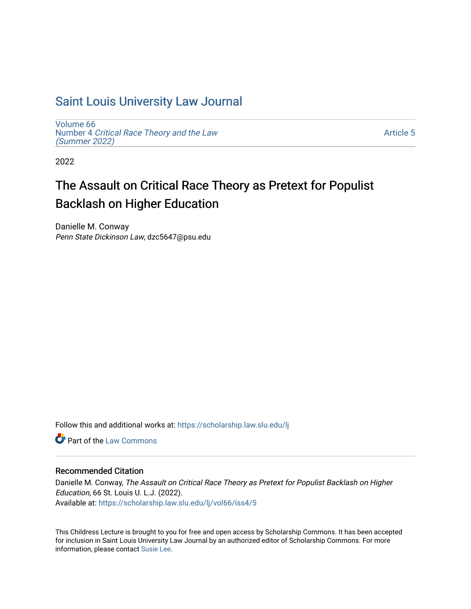## [Saint Louis University Law Journal](https://scholarship.law.slu.edu/lj)

[Volume 66](https://scholarship.law.slu.edu/lj/vol66) Number 4 [Critical Race Theory and the Law](https://scholarship.law.slu.edu/lj/vol66/iss4)  [\(Summer 2022\)](https://scholarship.law.slu.edu/lj/vol66/iss4)

[Article 5](https://scholarship.law.slu.edu/lj/vol66/iss4/5) 

2022

# The Assault on Critical Race Theory as Pretext for Populist Backlash on Higher Education

Danielle M. Conway Penn State Dickinson Law, dzc5647@psu.edu

Follow this and additional works at: [https://scholarship.law.slu.edu/lj](https://scholarship.law.slu.edu/lj?utm_source=scholarship.law.slu.edu%2Flj%2Fvol66%2Fiss4%2F5&utm_medium=PDF&utm_campaign=PDFCoverPages) 

**C** Part of the [Law Commons](https://network.bepress.com/hgg/discipline/578?utm_source=scholarship.law.slu.edu%2Flj%2Fvol66%2Fiss4%2F5&utm_medium=PDF&utm_campaign=PDFCoverPages)

## Recommended Citation

Danielle M. Conway, The Assault on Critical Race Theory as Pretext for Populist Backlash on Higher Education, 66 St. Louis U. L.J. (2022). Available at: [https://scholarship.law.slu.edu/lj/vol66/iss4/5](https://scholarship.law.slu.edu/lj/vol66/iss4/5?utm_source=scholarship.law.slu.edu%2Flj%2Fvol66%2Fiss4%2F5&utm_medium=PDF&utm_campaign=PDFCoverPages) 

This Childress Lecture is brought to you for free and open access by Scholarship Commons. It has been accepted for inclusion in Saint Louis University Law Journal by an authorized editor of Scholarship Commons. For more information, please contact [Susie Lee](mailto:susie.lee@slu.edu).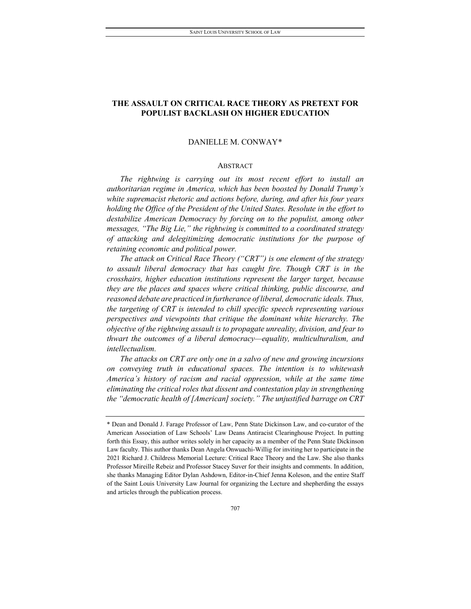## **THE ASSAULT ON CRITICAL RACE THEORY AS PRETEXT FOR POPULIST BACKLASH ON HIGHER EDUCATION**

#### DANIELLE M. CONWAY[\\*](#page-1-0)

#### ABSTRACT

*The rightwing is carrying out its most recent effort to install an authoritarian regime in America, which has been boosted by Donald Trump's white supremacist rhetoric and actions before, during, and after his four years holding the Office of the President of the United States. Resolute in the effort to destabilize American Democracy by forcing on to the populist, among other messages, "The Big Lie," the rightwing is committed to a coordinated strategy of attacking and delegitimizing democratic institutions for the purpose of retaining economic and political power.*

*The attack on Critical Race Theory ("CRT") is one element of the strategy to assault liberal democracy that has caught fire. Though CRT is in the crosshairs, higher education institutions represent the larger target, because they are the places and spaces where critical thinking, public discourse, and reasoned debate are practiced in furtherance of liberal, democratic ideals. Thus, the targeting of CRT is intended to chill specific speech representing various perspectives and viewpoints that critique the dominant white hierarchy. The objective of the rightwing assault is to propagate unreality, division, and fear to thwart the outcomes of a liberal democracy—equality, multiculturalism, and intellectualism.*

*The attacks on CRT are only one in a salvo of new and growing incursions on conveying truth in educational spaces. The intention is to whitewash America's history of racism and racial oppression, while at the same time eliminating the critical roles that dissent and contestation play in strengthening the "democratic health of [American] society." The unjustified barrage on CRT* 

<span id="page-1-0"></span><sup>\*</sup> Dean and Donald J. Farage Professor of Law, Penn State Dickinson Law, and co-curator of the American Association of Law Schools' Law Deans Antiracist Clearinghouse Project. In putting forth this Essay, this author writes solely in her capacity as a member of the Penn State Dickinson Law faculty. This author thanks Dean Angela Onwuachi-Willig for inviting her to participate in the 2021 Richard J. Childress Memorial Lecture: Critical Race Theory and the Law. She also thanks Professor Mireille Rebeiz and Professor Stacey Suver for their insights and comments. In addition, she thanks Managing Editor Dylan Ashdown, Editor-in-Chief Jenna Koleson, and the entire Staff of the Saint Louis University Law Journal for organizing the Lecture and shepherding the essays and articles through the publication process.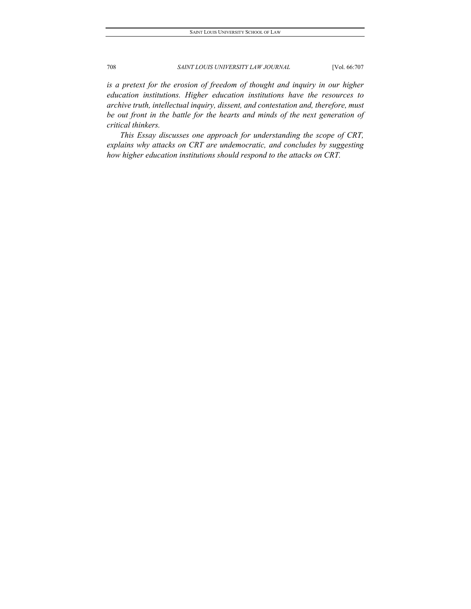*is a pretext for the erosion of freedom of thought and inquiry in our higher education institutions. Higher education institutions have the resources to archive truth, intellectual inquiry, dissent, and contestation and, therefore, must be out front in the battle for the hearts and minds of the next generation of critical thinkers.*

*This Essay discusses one approach for understanding the scope of CRT, explains why attacks on CRT are undemocratic, and concludes by suggesting how higher education institutions should respond to the attacks on CRT.*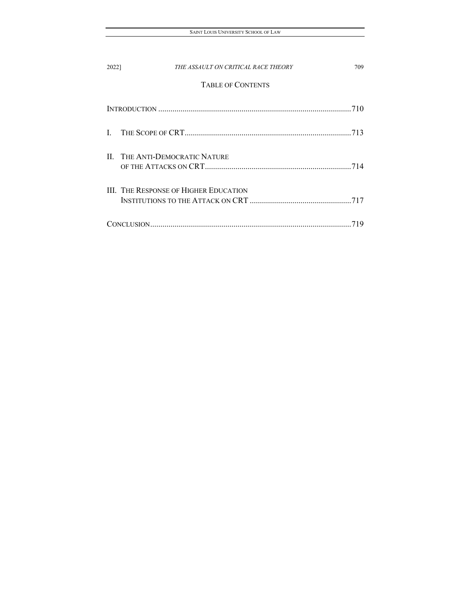| 2022] | THE ASSAULT ON CRITICAL RACE THEORY          | 709  |
|-------|----------------------------------------------|------|
|       | <b>TABLE OF CONTENTS</b>                     |      |
|       |                                              | .710 |
|       |                                              |      |
|       | <b>II. THE ANTI-DEMOCRATIC NATURE</b>        |      |
|       | <b>III. THE RESPONSE OF HIGHER EDUCATION</b> |      |
|       |                                              |      |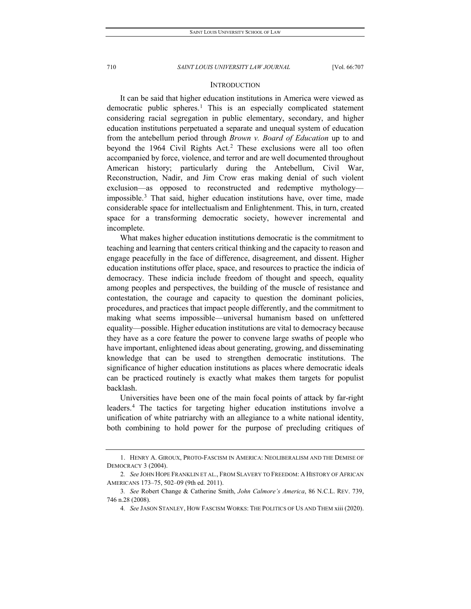#### **INTRODUCTION**

<span id="page-4-0"></span>It can be said that higher education institutions in America were viewed as democratic public spheres.[1](#page-4-1) This is an especially complicated statement considering racial segregation in public elementary, secondary, and higher education institutions perpetuated a separate and unequal system of education from the antebellum period through *Brown v. Board of Education* up to and beyond the 1964 Civil Rights Act.<sup>[2](#page-4-2)</sup> These exclusions were all too often accompanied by force, violence, and terror and are well documented throughout American history; particularly during the Antebellum, Civil War, Reconstruction, Nadir, and Jim Crow eras making denial of such violent exclusion—as opposed to reconstructed and redemptive mythology impossible.[3](#page-4-3) That said, higher education institutions have, over time, made considerable space for intellectualism and Enlightenment. This, in turn, created space for a transforming democratic society, however incremental and incomplete.

What makes higher education institutions democratic is the commitment to teaching and learning that centers critical thinking and the capacity to reason and engage peacefully in the face of difference, disagreement, and dissent. Higher education institutions offer place, space, and resources to practice the indicia of democracy. These indicia include freedom of thought and speech, equality among peoples and perspectives, the building of the muscle of resistance and contestation, the courage and capacity to question the dominant policies, procedures, and practices that impact people differently, and the commitment to making what seems impossible—universal humanism based on unfettered equality—possible. Higher education institutions are vital to democracy because they have as a core feature the power to convene large swaths of people who have important, enlightened ideas about generating, growing, and disseminating knowledge that can be used to strengthen democratic institutions. The significance of higher education institutions as places where democratic ideals can be practiced routinely is exactly what makes them targets for populist backlash.

Universities have been one of the main focal points of attack by far-right leaders.[4](#page-4-4) The tactics for targeting higher education institutions involve a unification of white patriarchy with an allegiance to a white national identity, both combining to hold power for the purpose of precluding critiques of

<span id="page-4-1"></span><sup>1.</sup> HENRY A. GIROUX, PROTO-FASCISM IN AMERICA: NEOLIBERALISM AND THE DEMISE OF DEMOCRACY 3 (2004).

<span id="page-4-2"></span><sup>2</sup>*. See* JOHN HOPE FRANKLIN ET AL., FROM SLAVERY TO FREEDOM: A HISTORY OF AFRICAN AMERICANS 173–75, 502–09 (9th ed. 2011).

<span id="page-4-4"></span><span id="page-4-3"></span><sup>3</sup>*. See* Robert Change & Catherine Smith, *John Calmore's America*, 86 N.C.L. REV. 739, 746 n.28 (2008).

<sup>4</sup>*. See* JASON STANLEY, HOW FASCISM WORKS: THE POLITICS OF US AND THEM xiii (2020).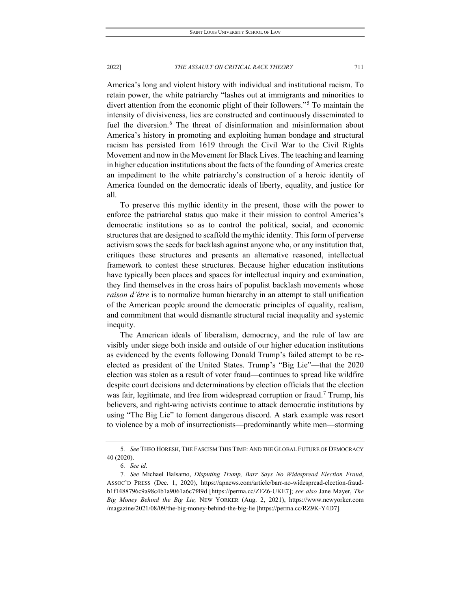America's long and violent history with individual and institutional racism. To retain power, the white patriarchy "lashes out at immigrants and minorities to divert attention from the economic plight of their followers."[5](#page-5-0) To maintain the intensity of divisiveness, lies are constructed and continuously disseminated to fuel the diversion.<sup>[6](#page-5-1)</sup> The threat of disinformation and misinformation about America's history in promoting and exploiting human bondage and structural racism has persisted from 1619 through the Civil War to the Civil Rights Movement and now in the Movement for Black Lives. The teaching and learning in higher education institutions about the facts of the founding of America create an impediment to the white patriarchy's construction of a heroic identity of America founded on the democratic ideals of liberty, equality, and justice for all.

To preserve this mythic identity in the present, those with the power to enforce the patriarchal status quo make it their mission to control America's democratic institutions so as to control the political, social, and economic structures that are designed to scaffold the mythic identity. This form of perverse activism sows the seeds for backlash against anyone who, or any institution that, critiques these structures and presents an alternative reasoned, intellectual framework to contest these structures. Because higher education institutions have typically been places and spaces for intellectual inquiry and examination, they find themselves in the cross hairs of populist backlash movements whose *raison d'être* is to normalize human hierarchy in an attempt to stall unification of the American people around the democratic principles of equality, realism, and commitment that would dismantle structural racial inequality and systemic inequity.

The American ideals of liberalism, democracy, and the rule of law are visibly under siege both inside and outside of our higher education institutions as evidenced by the events following Donald Trump's failed attempt to be reelected as president of the United States. Trump's "Big Lie"—that the 2020 election was stolen as a result of voter fraud—continues to spread like wildfire despite court decisions and determinations by election officials that the election was fair, legitimate, and free from widespread corruption or fraud.<sup>7</sup> Trump, his believers, and right-wing activists continue to attack democratic institutions by using "The Big Lie" to foment dangerous discord. A stark example was resort to violence by a mob of insurrectionists—predominantly white men—storming

<span id="page-5-0"></span><sup>5</sup>*. See* THEO HORESH, THE FASCISM THIS TIME: AND THE GLOBAL FUTURE OF DEMOCRACY 40 (2020).

<sup>6</sup>*. See id.*

<span id="page-5-2"></span><span id="page-5-1"></span><sup>7</sup>*. See* Michael Balsamo, *Disputing Trump, Barr Says No Widespread Election Fraud*, ASSOC'D PRESS (Dec. 1, 2020), https://apnews.com/article/barr-no-widespread-election-fraudb1f1488796c9a98c4b1a9061a6c7f49d [https://perma.cc/ZFZ6-UKE7]; *see also* Jane Mayer, *The Big Money Behind the Big Lie,* NEW YORKER (Aug. 2, 2021), https://www.newyorker.com /magazine/2021/08/09/the-big-money-behind-the-big-lie [https://perma.cc/RZ9K-Y4D7].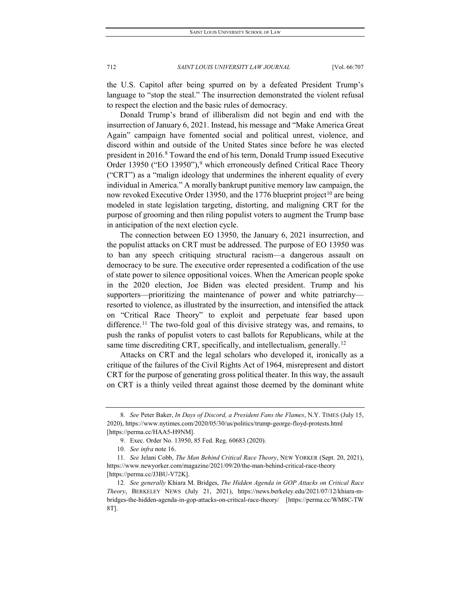the U.S. Capitol after being spurred on by a defeated President Trump's language to "stop the steal." The insurrection demonstrated the violent refusal to respect the election and the basic rules of democracy.

Donald Trump's brand of illiberalism did not begin and end with the insurrection of January 6, 2021. Instead, his message and "Make America Great Again" campaign have fomented social and political unrest, violence, and discord within and outside of the United States since before he was elected president in 2016.<sup>[8](#page-6-0)</sup> Toward the end of his term, Donald Trump issued Executive Order 13[9](#page-6-1)50 ("EO 13950"),<sup>9</sup> which erroneously defined Critical Race Theory ("CRT") as a "malign ideology that undermines the inherent equality of every individual in America." A morally bankrupt punitive memory law campaign, the now revoked Executive Order 13950, and the 1776 blueprint project<sup>[10](#page-6-2)</sup> are being modeled in state legislation targeting, distorting, and maligning CRT for the purpose of grooming and then riling populist voters to augment the Trump base in anticipation of the next election cycle.

The connection between EO 13950, the January 6, 2021 insurrection, and the populist attacks on CRT must be addressed. The purpose of EO 13950 was to ban any speech critiquing structural racism—a dangerous assault on democracy to be sure. The executive order represented a codification of the use of state power to silence oppositional voices. When the American people spoke in the 2020 election, Joe Biden was elected president. Trump and his supporters—prioritizing the maintenance of power and white patriarchy resorted to violence, as illustrated by the insurrection, and intensified the attack on "Critical Race Theory" to exploit and perpetuate fear based upon difference.<sup>[11](#page-6-3)</sup> The two-fold goal of this divisive strategy was, and remains, to push the ranks of populist voters to cast ballots for Republicans, while at the same time discrediting CRT, specifically, and intellectualism, generally.<sup>[12](#page-6-4)</sup>

Attacks on CRT and the legal scholars who developed it, ironically as a critique of the failures of the Civil Rights Act of 1964, misrepresent and distort CRT for the purpose of generating gross political theater. In this way, the assault on CRT is a thinly veiled threat against those deemed by the dominant white

<span id="page-6-0"></span><sup>8</sup>*. See* Peter Baker, *In Days of Discord, a President Fans the Flames*, N.Y. TIMES (July 15, 2020), https://www.nytimes.com/2020/05/30/us/politics/trump-george-floyd-protests.html [https://perma.cc/HAA5-H9NM].

<sup>9.</sup> Exec. Order No. 13950, 85 Fed. Reg. 60683 (2020).

<sup>10</sup>*. See infra* note 16.

<span id="page-6-3"></span><span id="page-6-2"></span><span id="page-6-1"></span><sup>11</sup>*. See* Jelani Cobb, *The Man Behind Critical Race Theory*, NEW YORKER (Sept. 20, 2021), https://www.newyorker.com/magazine/2021/09/20/the-man-behind-critical-race-theory [https://perma.cc/J3BU-V72K].

<span id="page-6-4"></span><sup>12</sup>*. See generally* Khiara M. Bridges, *The Hidden Agenda in GOP Attacks on Critical Race Theory*, BERKELEY NEWS (July 21, 2021), https://news.berkeley.edu/2021/07/12/khiara-mbridges-the-hidden-agenda-in-gop-attacks-on-critical-race-theory/ [https://perma.cc/WM8C-TW 8T].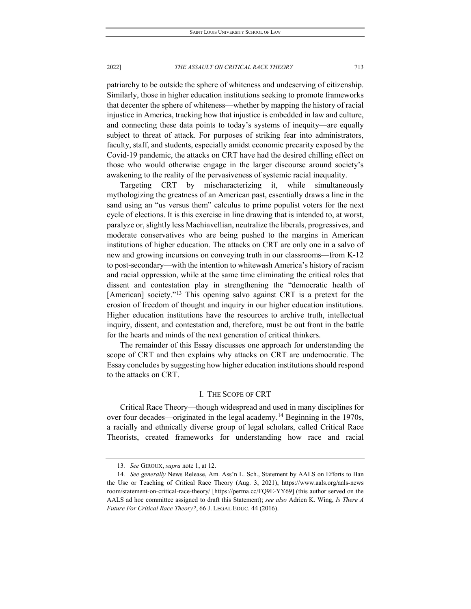patriarchy to be outside the sphere of whiteness and undeserving of citizenship. Similarly, those in higher education institutions seeking to promote frameworks that decenter the sphere of whiteness—whether by mapping the history of racial injustice in America, tracking how that injustice is embedded in law and culture, and connecting these data points to today's systems of inequity—are equally subject to threat of attack. For purposes of striking fear into administrators, faculty, staff, and students, especially amidst economic precarity exposed by the Covid-19 pandemic, the attacks on CRT have had the desired chilling effect on those who would otherwise engage in the larger discourse around society's awakening to the reality of the pervasiveness of systemic racial inequality.

Targeting CRT by mischaracterizing it, while simultaneously mythologizing the greatness of an American past, essentially draws a line in the sand using an "us versus them" calculus to prime populist voters for the next cycle of elections. It is this exercise in line drawing that is intended to, at worst, paralyze or, slightly less Machiavellian, neutralize the liberals, progressives, and moderate conservatives who are being pushed to the margins in American institutions of higher education. The attacks on CRT are only one in a salvo of new and growing incursions on conveying truth in our classrooms—from K-12 to post-secondary—with the intention to whitewash America's history of racism and racial oppression, while at the same time eliminating the critical roles that dissent and contestation play in strengthening the "democratic health of [American] society."<sup>[13](#page-7-1)</sup> This opening salvo against CRT is a pretext for the erosion of freedom of thought and inquiry in our higher education institutions. Higher education institutions have the resources to archive truth, intellectual inquiry, dissent, and contestation and, therefore, must be out front in the battle for the hearts and minds of the next generation of critical thinkers.

The remainder of this Essay discusses one approach for understanding the scope of CRT and then explains why attacks on CRT are undemocratic. The Essay concludes by suggesting how higher education institutions should respond to the attacks on CRT.

### I. THE SCOPE OF CRT

<span id="page-7-0"></span>Critical Race Theory—though widespread and used in many disciplines for over four decades—originated in the legal academy.[14](#page-7-2) Beginning in the 1970s, a racially and ethnically diverse group of legal scholars, called Critical Race Theorists, created frameworks for understanding how race and racial

<sup>13</sup>*. See* GIROUX, *supra* note 1, at 12.

<span id="page-7-2"></span><span id="page-7-1"></span><sup>14</sup>*. See generally* News Release, Am. Ass'n L. Sch., Statement by AALS on Efforts to Ban the Use or Teaching of Critical Race Theory (Aug. 3, 2021), https://www.aals.org/aals-news room/statement-on-critical-race-theory/ [https://perma.cc/FQ9E-YY69] (this author served on the AALS ad hoc committee assigned to draft this Statement); *see also* Adrien K. Wing, *Is There A Future For Critical Race Theory?*, 66 J. LEGAL EDUC. 44 (2016).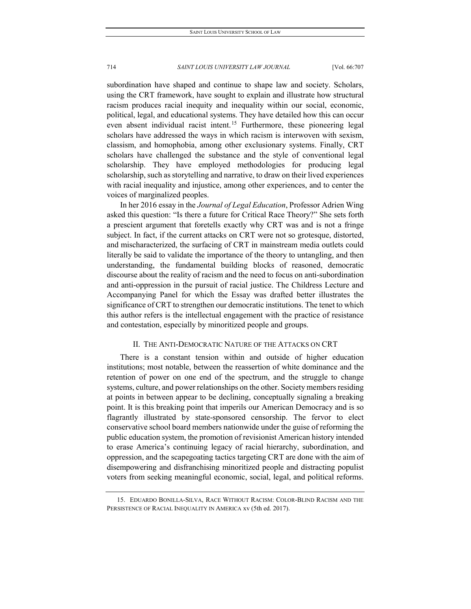subordination have shaped and continue to shape law and society. Scholars, using the CRT framework, have sought to explain and illustrate how structural racism produces racial inequity and inequality within our social, economic, political, legal, and educational systems. They have detailed how this can occur even absent individual racist intent.<sup>[15](#page-8-1)</sup> Furthermore, these pioneering legal scholars have addressed the ways in which racism is interwoven with sexism, classism, and homophobia, among other exclusionary systems. Finally, CRT scholars have challenged the substance and the style of conventional legal scholarship. They have employed methodologies for producing legal scholarship, such as storytelling and narrative, to draw on their lived experiences with racial inequality and injustice, among other experiences, and to center the voices of marginalized peoples.

In her 2016 essay in the *Journal of Legal Education*, Professor Adrien Wing asked this question: "Is there a future for Critical Race Theory?" She sets forth a prescient argument that foretells exactly why CRT was and is not a fringe subject. In fact, if the current attacks on CRT were not so grotesque, distorted, and mischaracterized, the surfacing of CRT in mainstream media outlets could literally be said to validate the importance of the theory to untangling, and then understanding, the fundamental building blocks of reasoned, democratic discourse about the reality of racism and the need to focus on anti-subordination and anti-oppression in the pursuit of racial justice. The Childress Lecture and Accompanying Panel for which the Essay was drafted better illustrates the significance of CRT to strengthen our democratic institutions. The tenet to which this author refers is the intellectual engagement with the practice of resistance and contestation, especially by minoritized people and groups.

#### II. THE ANTI-DEMOCRATIC NATURE OF THE ATTACKS ON CRT

<span id="page-8-0"></span>There is a constant tension within and outside of higher education institutions; most notable, between the reassertion of white dominance and the retention of power on one end of the spectrum, and the struggle to change systems, culture, and power relationships on the other. Society members residing at points in between appear to be declining, conceptually signaling a breaking point. It is this breaking point that imperils our American Democracy and is so flagrantly illustrated by state-sponsored censorship. The fervor to elect conservative school board members nationwide under the guise of reforming the public education system, the promotion of revisionist American history intended to erase America's continuing legacy of racial hierarchy, subordination, and oppression, and the scapegoating tactics targeting CRT are done with the aim of disempowering and disfranchising minoritized people and distracting populist voters from seeking meaningful economic, social, legal, and political reforms.

<span id="page-8-1"></span><sup>15.</sup> EDUARDO BONILLA-SILVA, RACE WITHOUT RACISM: COLOR-BLIND RACISM AND THE PERSISTENCE OF RACIAL INEQUALITY IN AMERICA xv (5th ed. 2017).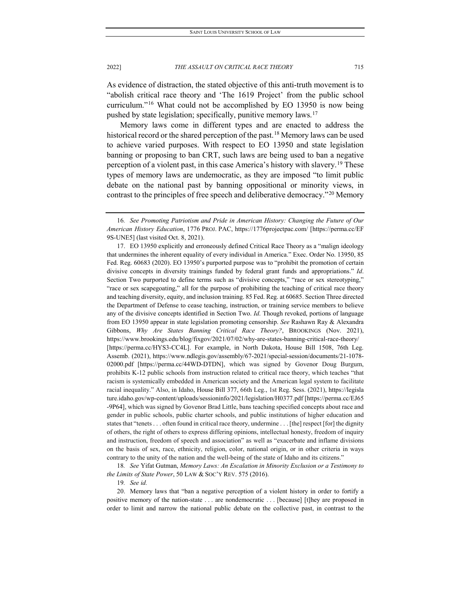As evidence of distraction, the stated objective of this anti-truth movement is to "abolish critical race theory and 'The 1619 Project' from the public school curriculum."[16](#page-9-0) What could not be accomplished by EO 13950 is now being

pushed by state legislation; specifically, punitive memory laws.[17](#page-9-1)

Memory laws come in different types and are enacted to address the historical record or the shared perception of the past.<sup>[18](#page-9-2)</sup> Memory laws can be used to achieve varied purposes. With respect to EO 13950 and state legislation banning or proposing to ban CRT, such laws are being used to ban a negative perception of a violent past, in this case America's history with slavery.<sup>[19](#page-9-3)</sup> These types of memory laws are undemocratic, as they are imposed "to limit public debate on the national past by banning oppositional or minority views, in contrast to the principles of free speech and deliberative democracy."[20](#page-9-4) Memory

<span id="page-9-1"></span>17. EO 13950 explicitly and erroneously defined Critical Race Theory as a "malign ideology that undermines the inherent equality of every individual in America." Exec. Order No. 13950, 85 Fed. Reg. 60683 (2020). EO 13950's purported purpose was to "prohibit the promotion of certain divisive concepts in diversity trainings funded by federal grant funds and appropriations." *Id*. Section Two purported to define terms such as "divisive concepts," "race or sex stereotyping," "race or sex scapegoating," all for the purpose of prohibiting the teaching of critical race theory and teaching diversity, equity, and inclusion training. 85 Fed. Reg. at 60685. Section Three directed the Department of Defense to cease teaching, instruction, or training service members to believe any of the divisive concepts identified in Section Two. *Id*. Though revoked, portions of language from EO 13950 appear in state legislation promoting censorship. *See* Rashawn Ray & Alexandra Gibbons, *Why Are States Banning Critical Race Theory?*, BROOKINGS (Nov. 2021), https://www.brookings.edu/blog/fixgov/2021/07/02/why-are-states-banning-critical-race-theory/ [https://perma.cc/HYS3-CC4L]. For example, in North Dakota, House Bill 1508, 76th Leg. Assemb. (2021), https://www.ndlegis.gov/assembly/67-2021/special-session/documents/21-1078- 02000.pdf [https://perma.cc/44WD-DTDN], which was signed by Govenor Doug Burgum, prohibits K-12 public schools from instruction related to critical race theory, which teaches "that racism is systemically embedded in American society and the American legal system to facilitate racial inequality." Also, in Idaho, House Bill 377, 66th Leg., 1st Reg. Sess. (2021), https://legisla ture.idaho.gov/wp-content/uploads/sessioninfo/2021/legislation/H0377.pdf [https://perma.cc/EJ65 -9P64], which was signed by Govenor Brad Little, bans teaching specified concepts about race and gender in public schools, public charter schools, and public institutions of higher education and states that "tenets . . . often found in critical race theory, undermine . . . [the] respect [for] the dignity of others, the right of others to express differing opinions, intellectual honesty, freedom of inquiry and instruction, freedom of speech and association" as well as "exacerbate and inflame divisions on the basis of sex, race, ethnicity, religion, color, national origin, or in other criteria in ways contrary to the unity of the nation and the well-being of the state of Idaho and its citizens."

<span id="page-9-2"></span>18*. See* Yifat Gutman, *Memory Laws: An Escalation in Minority Exclusion or a Testimony to the Limits of State Power*, 50 LAW & SOC'Y REV. 575 (2016).

19*. See id.*

<span id="page-9-4"></span><span id="page-9-3"></span>20. Memory laws that "ban a negative perception of a violent history in order to fortify a positive memory of the nation-state . . . are nondemocratic . . . [because] [t]hey are proposed in order to limit and narrow the national public debate on the collective past, in contrast to the

<span id="page-9-0"></span><sup>16</sup>*. See Promoting Patriotism and Pride in American History: Changing the Future of Our American History Education*, 1776 PROJ. PAC, https://1776projectpac.com/ [https://perma.cc/EF 9S-UNE5] (last visited Oct. 8, 2021).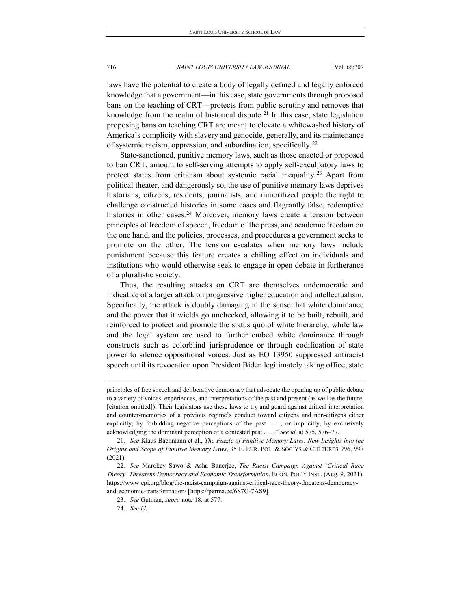laws have the potential to create a body of legally defined and legally enforced knowledge that a government—in this case, state governments through proposed bans on the teaching of CRT—protects from public scrutiny and removes that knowledge from the realm of historical dispute.<sup>[21](#page-10-0)</sup> In this case, state legislation proposing bans on teaching CRT are meant to elevate a whitewashed history of America's complicity with slavery and genocide, generally, and its maintenance of systemic racism, oppression, and subordination, specifically.[22](#page-10-1)

State-sanctioned, punitive memory laws, such as those enacted or proposed to ban CRT, amount to self-serving attempts to apply self-exculpatory laws to protect states from criticism about systemic racial inequality. [23](#page-10-2) Apart from political theater, and dangerously so, the use of punitive memory laws deprives historians, citizens, residents, journalists, and minoritized people the right to challenge constructed histories in some cases and flagrantly false, redemptive histories in other cases.<sup>[24](#page-10-3)</sup> Moreover, memory laws create a tension between principles of freedom of speech, freedom of the press, and academic freedom on the one hand, and the policies, processes, and procedures a government seeks to promote on the other. The tension escalates when memory laws include punishment because this feature creates a chilling effect on individuals and institutions who would otherwise seek to engage in open debate in furtherance of a pluralistic society.

Thus, the resulting attacks on CRT are themselves undemocratic and indicative of a larger attack on progressive higher education and intellectualism. Specifically, the attack is doubly damaging in the sense that white dominance and the power that it wields go unchecked, allowing it to be built, rebuilt, and reinforced to protect and promote the status quo of white hierarchy, while law and the legal system are used to further embed white dominance through constructs such as colorblind jurisprudence or through codification of state power to silence oppositional voices. Just as EO 13950 suppressed antiracist speech until its revocation upon President Biden legitimately taking office, state

principles of free speech and deliberative democracy that advocate the opening up of public debate to a variety of voices, experiences, and interpretations of the past and present (as well as the future, [citation omitted]). Their legislators use these laws to try and guard against critical interpretation and counter-memories of a previous regime's conduct toward citizens and non-citizens either explicitly, by forbidding negative perceptions of the past . . . , or implicitly, by exclusively acknowledging the dominant perception of a contested past . . . ." *See id*. at 575, 576–77.

<span id="page-10-0"></span><sup>21</sup>*. See* Klaus Bachmann et al., *The Puzzle of Punitive Memory Laws: New Insights into the Origins and Scope of Punitive Memory Laws*, 35 E. EUR. POL. & SOC'YS & CULTURES 996, 997 (2021).

<span id="page-10-3"></span><span id="page-10-2"></span><span id="page-10-1"></span><sup>22</sup>*. See* Marokey Sawo & Asha Banerjee, *The Racist Campaign Against 'Critical Race Theory' Threatens Democracy and Economic Transformation*, ECON. POL'Y INST. (Aug. 9, 2021), https://www.epi.org/blog/the-racist-campaign-against-critical-race-theory-threatens-democracyand-economic-transformation/ [https://perma.cc/6S7G-7AS9].

<sup>23</sup>*. See* Gutman, *supra* note 18, at 577.

<sup>24</sup>*. See id.*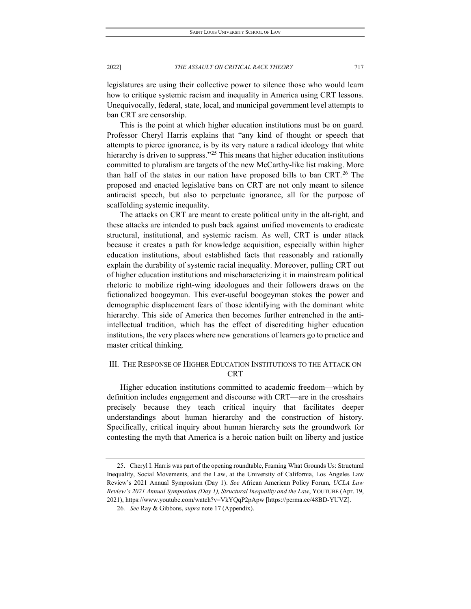legislatures are using their collective power to silence those who would learn how to critique systemic racism and inequality in America using CRT lessons. Unequivocally, federal, state, local, and municipal government level attempts to ban CRT are censorship.

This is the point at which higher education institutions must be on guard. Professor Cheryl Harris explains that "any kind of thought or speech that attempts to pierce ignorance, is by its very nature a radical ideology that white hierarchy is driven to suppress."<sup>[25](#page-11-1)</sup> This means that higher education institutions committed to pluralism are targets of the new McCarthy-like list making. More than half of the states in our nation have proposed bills to ban CRT.[26](#page-11-2) The proposed and enacted legislative bans on CRT are not only meant to silence antiracist speech, but also to perpetuate ignorance, all for the purpose of scaffolding systemic inequality.

The attacks on CRT are meant to create political unity in the alt-right, and these attacks are intended to push back against unified movements to eradicate structural, institutional, and systemic racism. As well, CRT is under attack because it creates a path for knowledge acquisition, especially within higher education institutions, about established facts that reasonably and rationally explain the durability of systemic racial inequality. Moreover, pulling CRT out of higher education institutions and mischaracterizing it in mainstream political rhetoric to mobilize right-wing ideologues and their followers draws on the fictionalized boogeyman. This ever-useful boogeyman stokes the power and demographic displacement fears of those identifying with the dominant white hierarchy. This side of America then becomes further entrenched in the antiintellectual tradition, which has the effect of discrediting higher education institutions, the very places where new generations of learners go to practice and master critical thinking.

## <span id="page-11-0"></span>III. THE RESPONSE OF HIGHER EDUCATION INSTITUTIONS TO THE ATTACK ON **CRT**

Higher education institutions committed to academic freedom—which by definition includes engagement and discourse with CRT—are in the crosshairs precisely because they teach critical inquiry that facilitates deeper understandings about human hierarchy and the construction of history. Specifically, critical inquiry about human hierarchy sets the groundwork for contesting the myth that America is a heroic nation built on liberty and justice

<span id="page-11-2"></span><span id="page-11-1"></span><sup>25.</sup> Cheryl I. Harris was part of the opening roundtable, Framing What Grounds Us: Structural Inequality, Social Movements, and the Law, at the University of California, Los Angeles Law Review's 2021 Annual Symposium (Day 1). *See* African American Policy Forum, *UCLA Law Review's 2021 Annual Symposium (Day 1), Structural Inequality and the Law*, YOUTUBE (Apr. 19, 2021), https://www.youtube.com/watch?v=VkYQqP2pApw [https://perma.cc/48BD-YUVZ].

<sup>26</sup>*. See* Ray & Gibbons, *supra* note 17 (Appendix).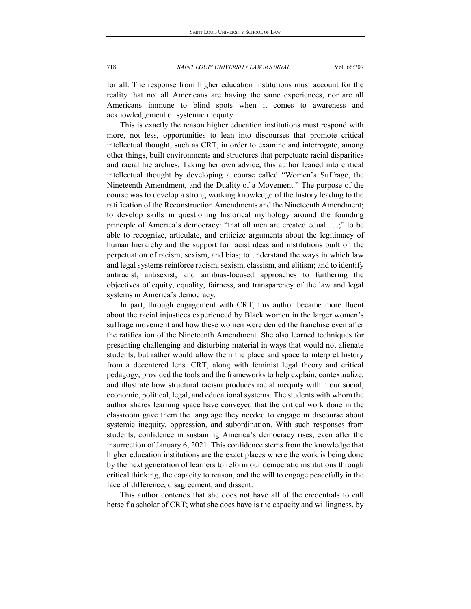for all. The response from higher education institutions must account for the reality that not all Americans are having the same experiences, nor are all Americans immune to blind spots when it comes to awareness and acknowledgement of systemic inequity.

This is exactly the reason higher education institutions must respond with more, not less, opportunities to lean into discourses that promote critical intellectual thought, such as CRT, in order to examine and interrogate, among other things, built environments and structures that perpetuate racial disparities and racial hierarchies. Taking her own advice, this author leaned into critical intellectual thought by developing a course called "Women's Suffrage, the Nineteenth Amendment, and the Duality of a Movement." The purpose of the course was to develop a strong working knowledge of the history leading to the ratification of the Reconstruction Amendments and the Nineteenth Amendment; to develop skills in questioning historical mythology around the founding principle of America's democracy: "that all men are created equal . . .;" to be able to recognize, articulate, and criticize arguments about the legitimacy of human hierarchy and the support for racist ideas and institutions built on the perpetuation of racism, sexism, and bias; to understand the ways in which law and legal systems reinforce racism, sexism, classism, and elitism; and to identify antiracist, antisexist, and antibias-focused approaches to furthering the objectives of equity, equality, fairness, and transparency of the law and legal systems in America's democracy.

In part, through engagement with CRT, this author became more fluent about the racial injustices experienced by Black women in the larger women's suffrage movement and how these women were denied the franchise even after the ratification of the Nineteenth Amendment. She also learned techniques for presenting challenging and disturbing material in ways that would not alienate students, but rather would allow them the place and space to interpret history from a decentered lens. CRT, along with feminist legal theory and critical pedagogy, provided the tools and the frameworks to help explain, contextualize, and illustrate how structural racism produces racial inequity within our social, economic, political, legal, and educational systems. The students with whom the author shares learning space have conveyed that the critical work done in the classroom gave them the language they needed to engage in discourse about systemic inequity, oppression, and subordination. With such responses from students, confidence in sustaining America's democracy rises, even after the insurrection of January 6, 2021. This confidence stems from the knowledge that higher education institutions are the exact places where the work is being done by the next generation of learners to reform our democratic institutions through critical thinking, the capacity to reason, and the will to engage peacefully in the face of difference, disagreement, and dissent.

This author contends that she does not have all of the credentials to call herself a scholar of CRT; what she does have is the capacity and willingness, by